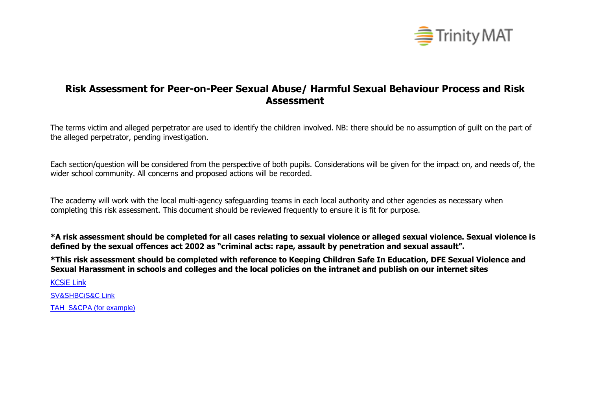

## **Risk Assessment for Peer-on-Peer Sexual Abuse/ Harmful Sexual Behaviour Process and Risk Assessment**

The terms victim and alleged perpetrator are used to identify the children involved. NB: there should be no assumption of guilt on the part of the alleged perpetrator, pending investigation.

Each section/question will be considered from the perspective of both pupils. Considerations will be given for the impact on, and needs of, the wider school community. All concerns and proposed actions will be recorded.

The academy will work with the local multi-agency safeguarding teams in each local authority and other agencies as necessary when completing this risk assessment. This document should be reviewed frequently to ensure it is fit for purpose.

**\*A risk assessment should be completed for all cases relating to sexual violence or alleged sexual violence. Sexual violence is defined by the sexual offences act 2002 as "criminal acts: rape, assault by penetration and sexual assault".**

**\*This risk assessment should be completed with reference to Keeping Children Safe In Education, DFE Sexual Violence and Sexual Harassment in schools and colleges and the local policies on the intranet and publish on our internet sites**

[KCSiE Link](https://assets.publishing.service.gov.uk/government/uploads/system/uploads/attachment_data/file/954314/Keeping_children_safe_in_education_2020_-_Update_-_January_2021.pdf)

[SV&SHBCiS&C Link](https://eur03.safelinks.protection.outlook.com/?url=https%3A%2F%2Fassets.publishing.service.gov.uk%2Fgovernment%2Fuploads%2Fsystem%2Fuploads%2Fattachment_data%2Ffile%2F719902%2FSexual_violence_and_sexual_harassment_between_children_in_schools_and_colleges.pdf&data=04%7C01%7CPKnight%40trinitymat.org%7C7a06cbae2c464bc71d1a08d8fd899cb6%7Cae3d210892e840b79cfc9b463f21fd37%7C1%7C0%7C637538114775662984%7CUnknown%7CTWFpbGZsb3d8eyJWIjoiMC4wLjAwMDAiLCJQIjoiV2luMzIiLCJBTiI6Ik1haWwiLCJXVCI6Mn0%3D%7C1000&sdata=LLNiLFHT75Fq197HEb015XB8vxt6tF1FcpMIQ2HOi10%3D&reserved=0)

[TAH S&CPA \(for example\)](https://halifax.trinitymat.org/wp-content/uploads/2021/02/A-TAH-COVID-19-Safeguarding-and-Child-Protection-Arrangements-Schools-and-School-Hubs-Update-2021.pdf)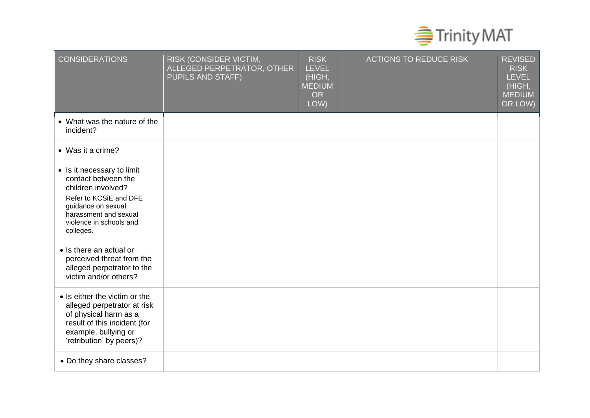

| <b>CONSIDERATIONS</b>                                                                                                                                                                    | RISK (CONSIDER VICTIM,<br>ALLEGED PERPETRATOR, OTHER<br>PUPILS AND STAFF) | <b>RISK</b><br><b>LEVEL</b><br>(HIGH,<br><b>MEDIUM</b><br><b>OR</b><br>LOW) | <b>ACTIONS TO REDUCE RISK</b> | <b>REVISED</b><br><b>RISK</b><br><b>LEVEL</b><br>(HIGH,<br><b>MEDIUM</b><br>OR LOW) |
|------------------------------------------------------------------------------------------------------------------------------------------------------------------------------------------|---------------------------------------------------------------------------|-----------------------------------------------------------------------------|-------------------------------|-------------------------------------------------------------------------------------|
| • What was the nature of the<br>incident?                                                                                                                                                |                                                                           |                                                                             |                               |                                                                                     |
| • Was it a crime?                                                                                                                                                                        |                                                                           |                                                                             |                               |                                                                                     |
| • Is it necessary to limit<br>contact between the<br>children involved?<br>Refer to KCSiE and DFE<br>guidance on sexual<br>harassment and sexual<br>violence in schools and<br>colleges. |                                                                           |                                                                             |                               |                                                                                     |
| • Is there an actual or<br>perceived threat from the<br>alleged perpetrator to the<br>victim and/or others?                                                                              |                                                                           |                                                                             |                               |                                                                                     |
| • Is either the victim or the<br>alleged perpetrator at risk<br>of physical harm as a<br>result of this incident (for<br>example, bullying or<br>'retribution' by peers)?                |                                                                           |                                                                             |                               |                                                                                     |
| • Do they share classes?                                                                                                                                                                 |                                                                           |                                                                             |                               |                                                                                     |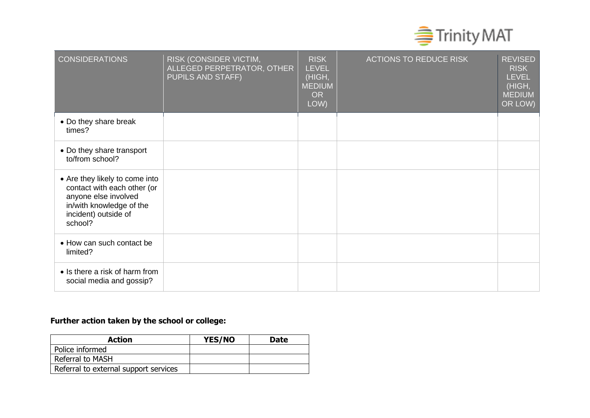

| <b>CONSIDERATIONS</b>                                                                                                                                | RISK (CONSIDER VICTIM,<br>ALLEGED PERPETRATOR, OTHER<br><b>PUPILS AND STAFF)</b> | <b>RISK</b><br><b>LEVEL</b><br>(HIGH,<br><b>MEDIUM</b><br><b>OR</b><br>LOW) | <b>ACTIONS TO REDUCE RISK</b> | <b>REVISED</b><br><b>RISK</b><br><b>LEVEL</b><br>(HIGH,<br><b>MEDIUM</b><br>OR LOW) |
|------------------------------------------------------------------------------------------------------------------------------------------------------|----------------------------------------------------------------------------------|-----------------------------------------------------------------------------|-------------------------------|-------------------------------------------------------------------------------------|
| • Do they share break<br>times?                                                                                                                      |                                                                                  |                                                                             |                               |                                                                                     |
| • Do they share transport<br>to/from school?                                                                                                         |                                                                                  |                                                                             |                               |                                                                                     |
| • Are they likely to come into<br>contact with each other (or<br>anyone else involved<br>in/with knowledge of the<br>incident) outside of<br>school? |                                                                                  |                                                                             |                               |                                                                                     |
| • How can such contact be<br>limited?                                                                                                                |                                                                                  |                                                                             |                               |                                                                                     |
| • Is there a risk of harm from<br>social media and gossip?                                                                                           |                                                                                  |                                                                             |                               |                                                                                     |

## **Further action taken by the school or college:**

| <b>Action</b>                         | YES/NO | <b>Date</b> |
|---------------------------------------|--------|-------------|
| Police informed                       |        |             |
| <b>Referral to MASH</b>               |        |             |
| Referral to external support services |        |             |